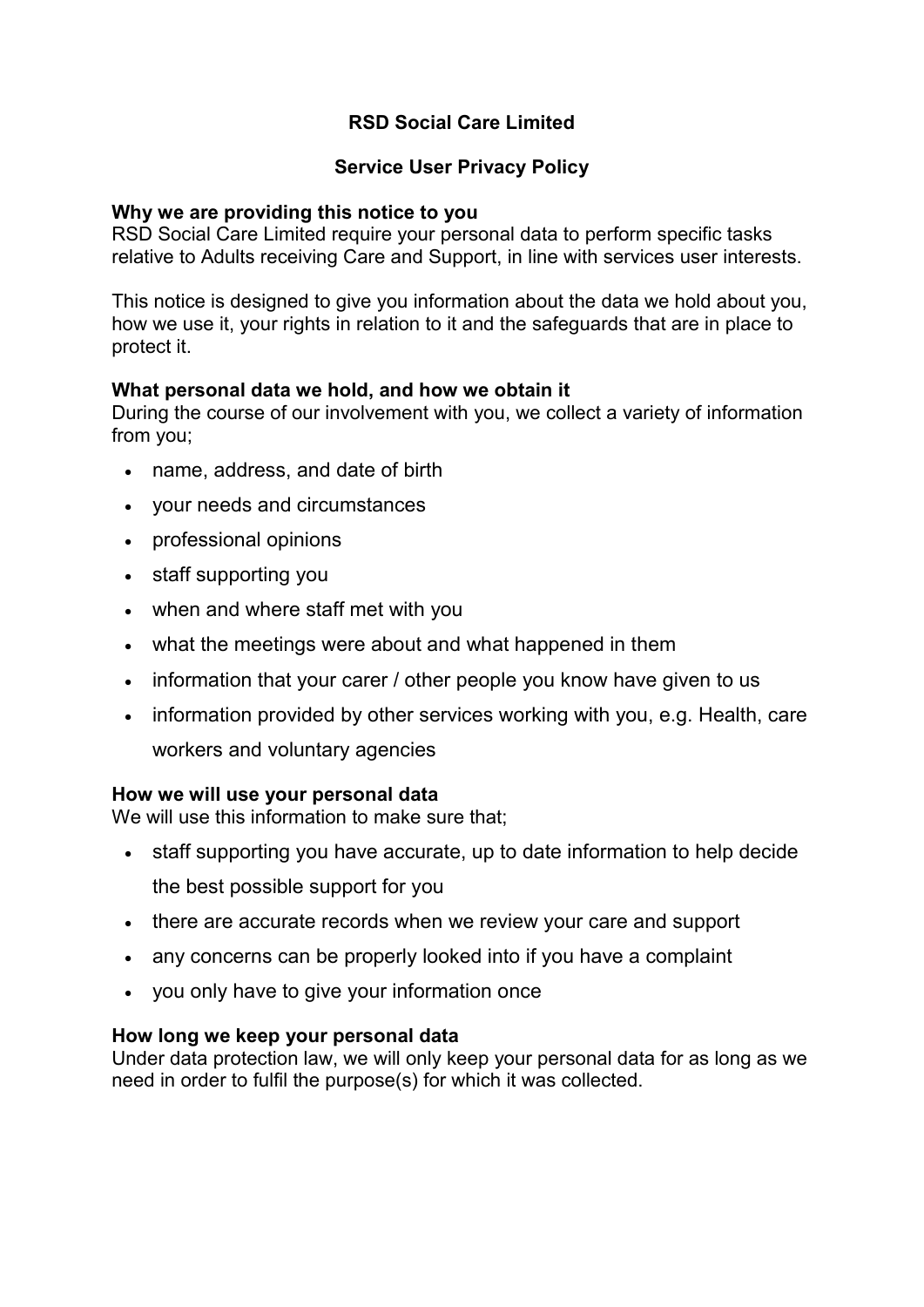# **RSD Social Care Limited**

# **Service User Privacy Policy**

### **Why we are providing this notice to you**

RSD Social Care Limited require your personal data to perform specific tasks relative to Adults receiving Care and Support, in line with services user interests.

This notice is designed to give you information about the data we hold about you, how we use it, your rights in relation to it and the safeguards that are in place to protect it.

## **What personal data we hold, and how we obtain it**

During the course of our involvement with you, we collect a variety of information from you;

- name, address, and date of birth
- your needs and circumstances
- professional opinions
- staff supporting you
- when and where staff met with you
- what the meetings were about and what happened in them
- information that your carer / other people you know have given to us
- information provided by other services working with you, e.g. Health, care workers and voluntary agencies

#### **How we will use your personal data**

We will use this information to make sure that;

- staff supporting you have accurate, up to date information to help decide the best possible support for you
- there are accurate records when we review your care and support
- any concerns can be properly looked into if you have a complaint
- you only have to give your information once

#### **How long we keep your personal data**

Under data protection law, we will only keep your personal data for as long as we need in order to fulfil the purpose(s) for which it was collected.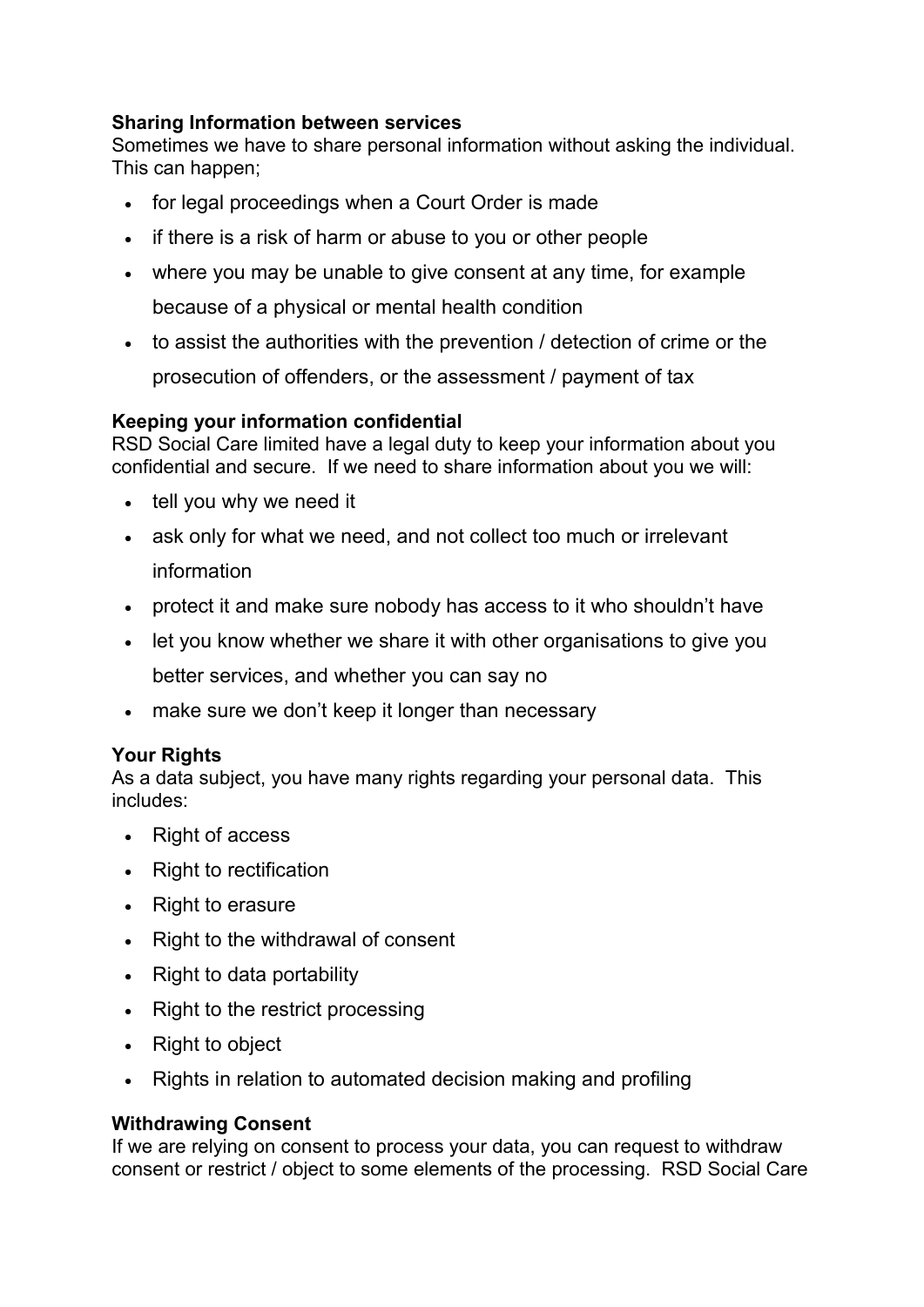## **Sharing Information between services**

Sometimes we have to share personal information without asking the individual. This can happen;

- for legal proceedings when a Court Order is made
- if there is a risk of harm or abuse to you or other people
- where you may be unable to give consent at any time, for example because of a physical or mental health condition
- to assist the authorities with the prevention / detection of crime or the

prosecution of offenders, or the assessment / payment of tax

## **Keeping your information confidential**

RSD Social Care limited have a legal duty to keep your information about you confidential and secure. If we need to share information about you we will:

- tell you why we need it
- ask only for what we need, and not collect too much or irrelevant information
- protect it and make sure nobody has access to it who shouldn't have
- let you know whether we share it with other organisations to give you

better services, and whether you can say no

• make sure we don't keep it longer than necessary

## **Your Rights**

As a data subject, you have many rights regarding your personal data. This includes:

- Right of access
- Right to rectification
- Right to erasure
- Right to the withdrawal of consent
- Right to data portability
- Right to the restrict processing
- Right to object
- Rights in relation to automated decision making and profiling

#### **Withdrawing Consent**

If we are relying on consent to process your data, you can request to withdraw consent or restrict / object to some elements of the processing. RSD Social Care